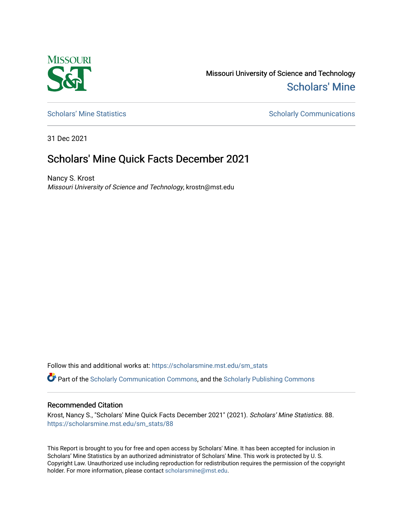

Missouri University of Science and Technology [Scholars' Mine](https://scholarsmine.mst.edu/) 

[Scholars' Mine Statistics](https://scholarsmine.mst.edu/sm_stats) Scholarly Communications

31 Dec 2021

## Scholars' Mine Quick Facts December 2021

Nancy S. Krost Missouri University of Science and Technology, krostn@mst.edu

Follow this and additional works at: [https://scholarsmine.mst.edu/sm\\_stats](https://scholarsmine.mst.edu/sm_stats?utm_source=scholarsmine.mst.edu%2Fsm_stats%2F88&utm_medium=PDF&utm_campaign=PDFCoverPages) 

Part of the [Scholarly Communication Commons,](http://network.bepress.com/hgg/discipline/1272?utm_source=scholarsmine.mst.edu%2Fsm_stats%2F88&utm_medium=PDF&utm_campaign=PDFCoverPages) and the [Scholarly Publishing Commons](http://network.bepress.com/hgg/discipline/1273?utm_source=scholarsmine.mst.edu%2Fsm_stats%2F88&utm_medium=PDF&utm_campaign=PDFCoverPages)

## Recommended Citation

Krost, Nancy S., "Scholars' Mine Quick Facts December 2021" (2021). Scholars' Mine Statistics. 88. [https://scholarsmine.mst.edu/sm\\_stats/88](https://scholarsmine.mst.edu/sm_stats/88?utm_source=scholarsmine.mst.edu%2Fsm_stats%2F88&utm_medium=PDF&utm_campaign=PDFCoverPages)

This Report is brought to you for free and open access by Scholars' Mine. It has been accepted for inclusion in Scholars' Mine Statistics by an authorized administrator of Scholars' Mine. This work is protected by U. S. Copyright Law. Unauthorized use including reproduction for redistribution requires the permission of the copyright holder. For more information, please contact [scholarsmine@mst.edu.](mailto:scholarsmine@mst.edu)